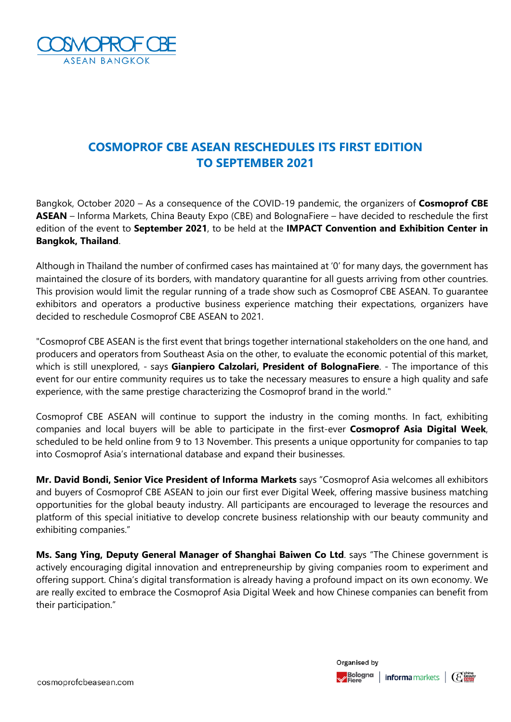

# **COSMOPROF CBE ASEAN RESCHEDULES ITS FIRST EDITION TO SEPTEMBER 2021**

Bangkok, October 2020 – As a consequence of the COVID-19 pandemic, the organizers of **Cosmoprof CBE ASEAN** – Informa Markets, China Beauty Expo (CBE) and BolognaFiere – have decided to reschedule the first edition of the event to **September 2021**, to be held at the **IMPACT Convention and Exhibition Center in Bangkok, Thailand**.

Although in Thailand the number of confirmed cases has maintained at '0' for many days, the government has maintained the closure of its borders, with mandatory quarantine for all guests arriving from other countries. This provision would limit the regular running of a trade show such as Cosmoprof CBE ASEAN. To guarantee exhibitors and operators a productive business experience matching their expectations, organizers have decided to reschedule Cosmoprof CBE ASEAN to 2021.

"Cosmoprof CBE ASEAN is the first event that brings together international stakeholders on the one hand, and producers and operators from Southeast Asia on the other, to evaluate the economic potential of this market, which is still unexplored, - says **Gianpiero Calzolari, President of BolognaFiere**. - The importance of this event for our entire community requires us to take the necessary measures to ensure a high quality and safe experience, with the same prestige characterizing the Cosmoprof brand in the world."

Cosmoprof CBE ASEAN will continue to support the industry in the coming months. In fact, exhibiting companies and local buyers will be able to participate in the first-ever **Cosmoprof Asia Digital Week**, scheduled to be held online from 9 to 13 November. This presents a unique opportunity for companies to tap into Cosmoprof Asia's international database and expand their businesses.

**Mr. David Bondi, Senior Vice President of Informa Markets** says "Cosmoprof Asia welcomes all exhibitors and buyers of Cosmoprof CBE ASEAN to join our first ever Digital Week, offering massive business matching opportunities for the global beauty industry. All participants are encouraged to leverage the resources and platform of this special initiative to develop concrete business relationship with our beauty community and exhibiting companies."

**Ms. Sang Ying, Deputy General Manager of Shanghai Baiwen Co Ltd**. says "The Chinese government is actively encouraging digital innovation and entrepreneurship by giving companies room to experiment and offering support. China's digital transformation is already having a profound impact on its own economy. We are really excited to embrace the Cosmoprof Asia Digital Week and how Chinese companies can benefit from their participation."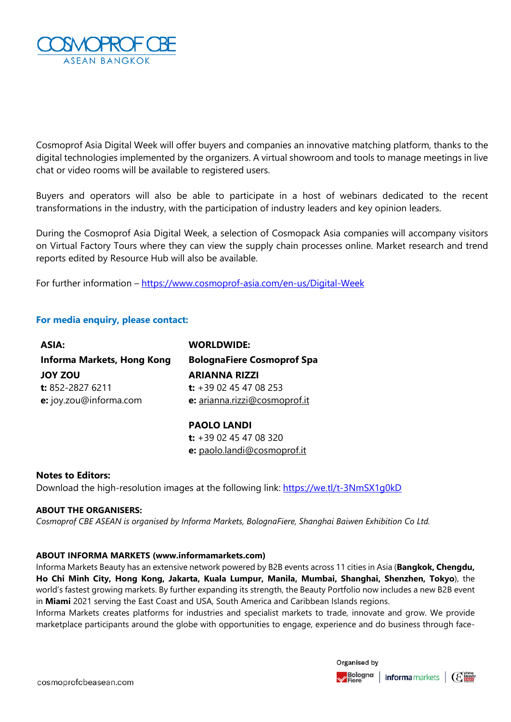

Cosmoprof Asia Digital Week will offer buyers and companies an innovative matching platform, thanks to the digital technologies implemented by the organizers. A virtual showroom and tools to manage meetings in live chat or video rooms will be available to registered users.

Buyers and operators will also be able to participate in a host of webinars dedicated to the recent transformations in the industry, with the participation of industry leaders and key opinion leaders.

During the Cosmoprof Asia Digital Week, a selection of Cosmopack Asia companies will accompany visitors on Virtual Factory Tours where they can view the supply chain processes online. Market research and trend reports edited by Resource Hub will also be available.

For further information – <https://www.cosmoprof-asia.com/en-us/Digital-Week>

## **For media enquiry, please contact:**

| ASIA:                      | <b>WORLDWIDE:</b>                 |
|----------------------------|-----------------------------------|
| Informa Markets, Hong Kong | <b>BolognaFiere Cosmoprof Spa</b> |
| <b>JOY ZOU</b>             | <b>ARIANNA RIZZI</b>              |
| t: 852-2827 6211           | t: $+3902454708253$               |
| e: joy.zou@informa.com     | e: arianna.rizzi@cosmoprof.it     |
|                            |                                   |

### **PAOLO LANDI**

**t:** +39 02 45 47 08 320 **e:** paolo.landi@cosmoprof.it

### **Notes to Editors:**

Download the high-resolution images at the following link: <https://we.tl/t-3NmSX1g0kD>

### **ABOUT THE ORGANISERS:**

*Cosmoprof CBE ASEAN is organised by Informa Markets, BolognaFiere, Shanghai Baiwen Exhibition Co Ltd.* 

### **ABOUT INFORMA MARKETS (www.informamarkets.com)**

Informa Markets Beauty has an extensive network powered by B2B events across 11 cities in Asia (**Bangkok, Chengdu, Ho Chi Minh City, Hong Kong, Jakarta, Kuala Lumpur, Manila, Mumbai, Shanghai, Shenzhen, Tokyo**), the world's fastest growing markets. By further expanding its strength, the Beauty Portfolio now includes a new B2B event in **Miami** 2021 serving the East Coast and USA, South America and Caribbean Islands regions.

Informa Markets creates platforms for industries and specialist markets to trade, innovate and grow. We provide marketplace participants around the globe with opportunities to engage, experience and do business through face-